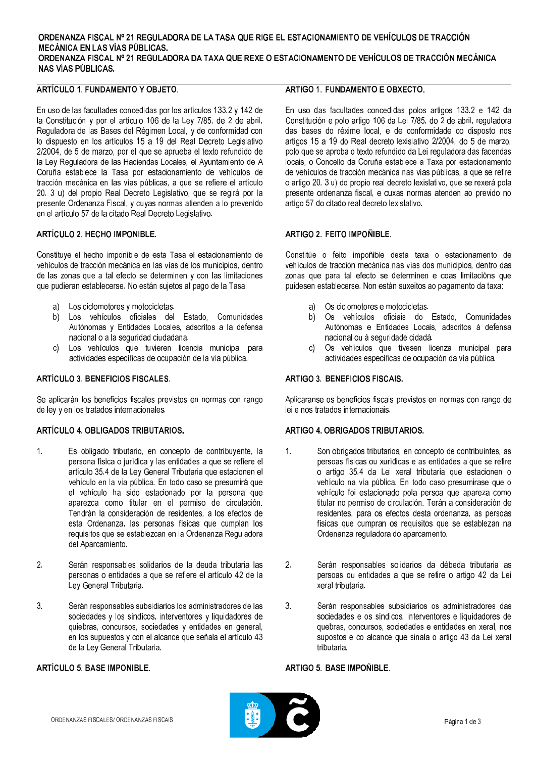#### ORDENANZA FISCAL Nº 21 REGULADORA DE LA TASA QUE RIGE EL ESTACIONAMIENTO DE VEHÍCULOS DE TRACCIÓN **MECÁNICA EN LAS VÍAS PÚBLICAS.** ORDENANZA FISCAL Nº 21 REGULADORA DA TAXA QUE REXE O ESTACIONAMENTO DE VEHÍCULOS DE TRACCIÓN MECÁNICA **NAS VÍAS PÚBLICAS.**

# ARTÍCULO 1 FUNDAMENTO Y OBJETO

En uso de las facultades concedidas por los artículos 133.2 y 142 de la Constitución y por el artículo 106 de la Ley 7/85, de 2 de abril, Reguladora de las Bases del Régimen Local, y de conformidad con lo dispuesto en los artículos 15 a 19 del Real Decreto Legislativo 2/2004, de 5 de marzo, por el que se aprueba el texto refundido de la Ley Reguladora de las Haciendas Locales, el Ayuntamiento de A Coruña establece la Tasa por estacionamiento de vehículos de tracción mecánica en las vías públicas, a que se refiere el artículo 20, 3 u) del propio Real Decreto Legislativo, que se regirá por la presente Ordenanza Fiscal, y cuyas normas atienden a lo prevenido en el artículo 57 de la citado Real Decreto Legislativo.

# ARTÍCULO 2. HECHO IMPONIBLE.

Constituye el hecho imponible de esta Tasa el estacionamiento de vehículos de tracción mecánica en las vías de los municipios, dentro de las zonas que a tal efecto se determinen y con las limitaciones que pudieran establecerse. No están sujetos al pago de la Tasa:

- Los ciclomotores y motocicletas. a)
- Los vehículos oficiales del Estado, Comunidades  $h$ Autónomas y Entidades Locales, adscritos a la defensa nacional o a la seguridad ciudadana.
- c) Los vehículos que tuvieren licencia municipal para actividades específicas de ocupación de la vía pública.

# ARTÍCULO 3. BENEFICIOS FISCALES.

Se aplicarán los beneficios fiscales previstos en normas con rango de ley y en los tratados internacionales.

# ARTÍCULO 4 OBLIGADOS TRIBUTARIOS

- $\mathbf{1}$ Es obligado tributario, en concepto de contribuyente, la persona física o jurídica y las entidades a que se refiere el artículo 35.4 de la Ley General Tributaria que estacionen el vehículo en la vía pública. En todo caso se presumirá que el vehículo ha sido estacionado por la persona que aparezca como titular en el permiso de circulación. Tendrán la consideración de residentes, a los efectos de esta Ordenanza, las personas físicas que cumplan los requisitos que se establezcan en la Ordenanza Reguladora del Aparcamiento.
- $\overline{2}$ Serán responsables solidarios de la deuda tributaria las personas o entidades a que se refiere el artículo 42 de la Ley General Tributaria.
- $\overline{3}$ Serán responsables subsidiarios los administradores de las sociedades y los síndicos, interventores y liquidadores de quiebras, concursos, sociedades y entidades en general, en los supuestos y con el alcance que señala el artículo 43 de la Ley General Tributaria.

# ARTÍCULO 5 BASE IMPONIBLE

#### ARTIGO 1 FUNDAMENTO E ORXECTO

En uso das facultades concedidas polos artigos 133.2 e 142 da Constitución e polo artigo 106 da Lei 7/85, do 2 de abril, reguladora das bases do réxime local, e de conformidade co disposto nos artigos 15 a 19 do Real decreto lexislativo 2/2004, do 5 de marzo, polo que se aproba o texto refundido da Lei reguladora das facendas locais, o Concello da Coruña establece a Taxa por estacionamento de vehículos de tracción mecánica nas vías públicas, a que se refire o artigo 20. 3 u) do propio real decreto lexislativo, que se rexerá pola presente ordenanza fiscal, e cuxas normas atenden ao prevido no artigo 57 do citado real decreto lexislativo.

#### **ARTIGO 2. FEITO IMPOÑIBLE.**

Constitúe o feito impoñible desta taxa o estacionamento de vehículos de tracción mecánica nas vías dos municipios, dentro das zonas que para tal efecto se determinen e coas limitacións que puidesen establecerse. Non están suxeitos ao pagamento da taxa:

- Os ciclomotores e motocicletas. a)
- $b)$ Os vehículos oficiais do Estado, Comunidades Autónomas e Entidades Locais, adscritos á defensa nacional ou á seguridade cidadá.
- c) Os vehículos que tivesen licenza municipal para actividades específicas de ocupación da vía pública.

#### **ARTIGO 3. BENEFICIOS FISCAIS.**

Aplicaranse os beneficios fiscais previstos en normas con rango de lei e nos tratados internacionais.

#### ARTIGO 4 OBRIGADOS TRIBUTARIOS

- $1<sub>1</sub>$ Son obrigados tributarios, en concepto de contribuíntes, as persoas físicas ou xurídicas e as entidades a que se refire o artigo 35.4 da Lei xeral tributaria que estacionen o vehículo na vía pública. En todo caso presumirase que o vehículo foi estacionado pola persoa que apareza como titular no permiso de circulación. Terán a consideración de residentes, para os efectos desta ordenanza, as persoas físicas que cumpran os requisitos que se establezan na Ordenanza reguladora do aparcamento.
- $\mathcal{P}$ Serán responsables solidarios da débeda tributaria as persoas ou entidades a que se refire o artigo 42 da Lei xeral tributaria.
- $3<sub>l</sub>$ Serán responsables subsidiarios os administradores das sociedades e os síndicos, interventores e liquidadores de quebras, concursos, sociedades e entidades en xeral, nos supostos e co alcance que sinala o artigo 43 da Lei xeral tributaria

#### ARTIGO 5 BASE IMPOÑIBLE

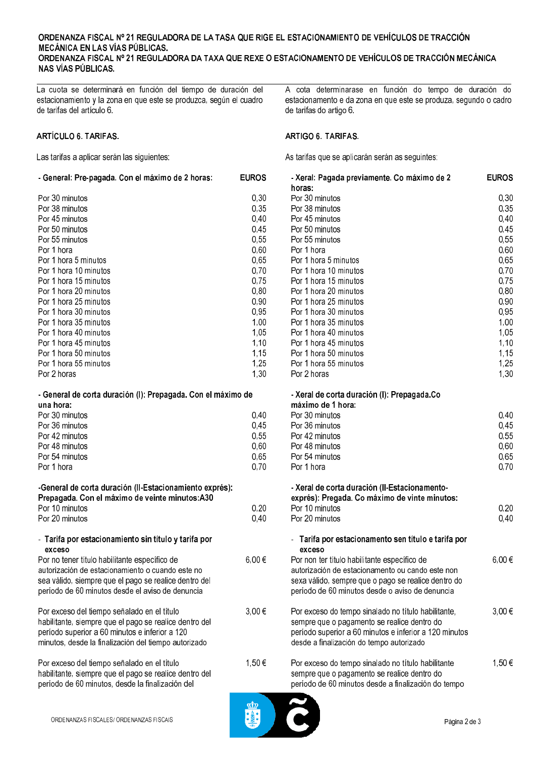#### ORDENANZA FISCAL Nº 21 REGULADORA DE LA TASA QUE RIGE EL ESTACIONAMIENTO DE VEHÍCULOS DE TRACCIÓN **MECÁNICA EN LAS VÍAS PÚBLICAS.** ORDENANZA FISCAL Nº 21 REGULADORA DA TAXA QUE REXE O ESTACIONAMENTO DE VEHÍCULOS DE TRACCIÓN MECÁNICA **NAS VÍAS PÚBLICAS.**

La cuota se determinará en función del tiempo de duración del estacionamiento y la zona en que este se produzca, según el cuadro de tarifas del artículo 6.

# **ARTÍCULO 6. TARIFAS.**

Las tarifas a aplicar serán las siguientes:

| - General: Pre-pagada. Con el máximo de 2 horas: | <b>EUROS</b> |
|--------------------------------------------------|--------------|
| Por 30 minutos                                   | 0,30         |
| Por 38 minutos                                   | 0,35         |
| Por 45 minutos                                   | 0,40         |
| Por 50 minutos                                   | 0,45         |
| Por 55 minutos                                   | 0,55         |
| Por 1 hora                                       | 0,60         |
| Por 1 hora 5 minutos                             | 0,65         |
| Por 1 hora 10 minutos                            | 0,70         |
| Por 1 hora 15 minutos                            | 0,75         |
| Por 1 hora 20 minutos                            | 0,80         |
| Por 1 hora 25 minutos                            | 0,90         |
| Por 1 hora 30 minutos                            | 0,95         |
| Por 1 hora 35 minutos                            | 1,00         |
| Por 1 hora 40 minutos                            | 1,05         |
| Por 1 hora 45 minutos                            | 1,10         |
| Por 1 hora 50 minutos                            | 1,15         |
| Por 1 hora 55 minutos                            | 1,25         |
| Por 2 horas                                      | 1,30         |

| - General de corta duración (I): Prepagada. Con el máximo de |     |
|--------------------------------------------------------------|-----|
| una hora:                                                    |     |
| Por 30 minutos                                               | 0.4 |
| Por 36 minutos                                               | 0.4 |
| Por 42 minutos                                               | 0.5 |
| Por 48 minutos                                               | በ Բ |

| ты чо пшило                                             |  |
|---------------------------------------------------------|--|
| Por 54 minutos                                          |  |
| Por 1 hora                                              |  |
|                                                         |  |
| -General de corta duración (Il Estacionamiento exprés): |  |
| Prepagada. Con el máximo de veinte minutos: A30         |  |
| Por 10 minutos                                          |  |

# - Tarifa por estacionamiento sin título y tarifa por exceso

Por 20 minutos

| Por no tener título habilitante específico de<br>autorización de estacionamiento o cuando este no<br>sea válido, siempre que el pago se realice dentro del<br>período de 60 minutos desde el aviso de denuncia  | 6.00 |
|-----------------------------------------------------------------------------------------------------------------------------------------------------------------------------------------------------------------|------|
| Por exceso del tiempo señalado en el título<br>habilitante, siempre que el pago se realice dentro del<br>período superior a 60 minutos e inferior a 120<br>minutos, desde la finalización del tiempo autorizado | 3.00 |
| Por exceso del tiempo señalado en el título<br>habilitante, siempre que el pago se realice dentro del<br>período de 60 minutos, desde la finalización del                                                       | 1.50 |

A cota determinarase en función do tempo de duración do estacionamento e da zona en que este se produza, segundo o cadro de tarifas do artigo 6.

# ARTIGO 6, TARIFAS.

As tarifas que se aplicarán serán as seguintes:

| ROS                                                                                                                                          | - Xeral: Pagada previamente. Co máximo de 2<br>horas:                                                                                                                                                                                                                                                                                                                                                 | <b>EUROS</b>                                                                                                                                 |
|----------------------------------------------------------------------------------------------------------------------------------------------|-------------------------------------------------------------------------------------------------------------------------------------------------------------------------------------------------------------------------------------------------------------------------------------------------------------------------------------------------------------------------------------------------------|----------------------------------------------------------------------------------------------------------------------------------------------|
| 0,30<br>0,35<br>0,40<br>0,45<br>0,55<br>0,60<br>0,65<br>0,70<br>0,75<br>0,80<br>0,90<br>0,95<br>1,00<br>1,05<br>1,10<br>1,15<br>1,25<br>1,30 | Por 30 minutos<br>Por 38 minutos<br>Por 45 minutos<br>Por 50 minutos<br>Por 55 minutos<br>Por 1 hora<br>Por 1 hora 5 minutos<br>Por 1 hora 10 minutos<br>Por 1 hora 15 minutos<br>Por 1 hora 20 minutos<br>Por 1 hora 25 minutos<br>Por 1 hora 30 minutos<br>Por 1 hora 35 minutos<br>Por 1 hora 40 minutos<br>Por 1 hora 45 minutos<br>Por 1 hora 50 minutos<br>Por 1 hora 55 minutos<br>Por 2 horas | 0,30<br>0,35<br>0,40<br>0,45<br>0,55<br>0,60<br>0,65<br>0,70<br>0,75<br>0,80<br>0,90<br>0,95<br>1,00<br>1,05<br>1,10<br>1,15<br>1,25<br>1,30 |
| €                                                                                                                                            | - Xeral de corta duración (I): Prepagada.Co                                                                                                                                                                                                                                                                                                                                                           |                                                                                                                                              |
| 0,40<br>0,45<br>0,55<br>0,60<br>0,65<br>0,70                                                                                                 | máximo de 1 hora:<br>Por 30 minutos<br>Por 36 minutos<br>Por 42 minutos<br>Por 48 minutos<br>Por 54 minutos<br>Por 1 hora                                                                                                                                                                                                                                                                             | 0,40<br>0,45<br>0,55<br>0,60<br>0,65<br>0,70                                                                                                 |
| 0,20<br>0,40                                                                                                                                 | - Xeral de corta duración (Il-Estacionamento-<br>exprés): Pregada. Co máximo de vinte minutos:<br>Por 10 minutos<br>Por 20 minutos                                                                                                                                                                                                                                                                    | 0,20<br>0,40                                                                                                                                 |
| ,00 €                                                                                                                                        | - Tarifa por estacionamento sen título e tarifa por<br>exceso<br>Por non ter título habilitante específico de<br>autorización de estacionamento ou cando este non<br>sexa válido, sempre que o pago se realice dentro do<br>período de 60 minutos desde o aviso de denuncia                                                                                                                           | 6,00€                                                                                                                                        |
| $00 \in$                                                                                                                                     | Por exceso do tempo sinalado no título habilitante,<br>sempre que o pagamento se realice dentro do<br>período superior a 60 minutos e inferior a 120 minutos<br>desde a finalización do tempo autorizado                                                                                                                                                                                              | 3,00€                                                                                                                                        |
| ,50€                                                                                                                                         | Por exceso do tempo sinalado no título habilitante<br>sempre que o pagamento se realice dentro do<br>período de 60 minutos desde a finalización do tempo                                                                                                                                                                                                                                              | 1,50 €                                                                                                                                       |